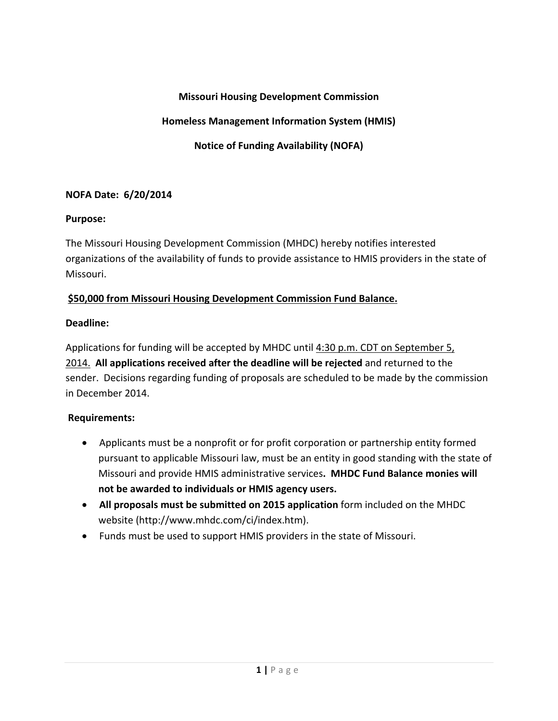## **Missouri Housing Development Commission**

## **Homeless Management Information System (HMIS)**

**Notice of Funding Availability (NOFA)**

#### **NOFA Date: 6/20/2014**

#### **Purpose:**

The Missouri Housing Development Commission (MHDC) hereby notifies interested organizations of the availability of funds to provide assistance to HMIS providers in the state of Missouri.

### **\$50,000 from Missouri Housing Development Commission Fund Balance.**

### **Deadline:**

Applications for funding will be accepted by MHDC until 4:30 p.m. CDT on September 5, 2014. **All applications received after the deadline will be rejected** and returned to the sender. Decisions regarding funding of proposals are scheduled to be made by the commission in December 2014.

## **Requirements:**

- Applicants must be a nonprofit or for profit corporation or partnership entity formed pursuant to applicable Missouri law, must be an entity in good standing with the state of Missouri and provide HMIS administrative services**. MHDC Fund Balance monies will not be awarded to individuals or HMIS agency users.**
- **All proposals must be submitted on 2015 application** form included on the MHDC website (http://www.mhdc.com/ci/index.htm).
- Funds must be used to support HMIS providers in the state of Missouri.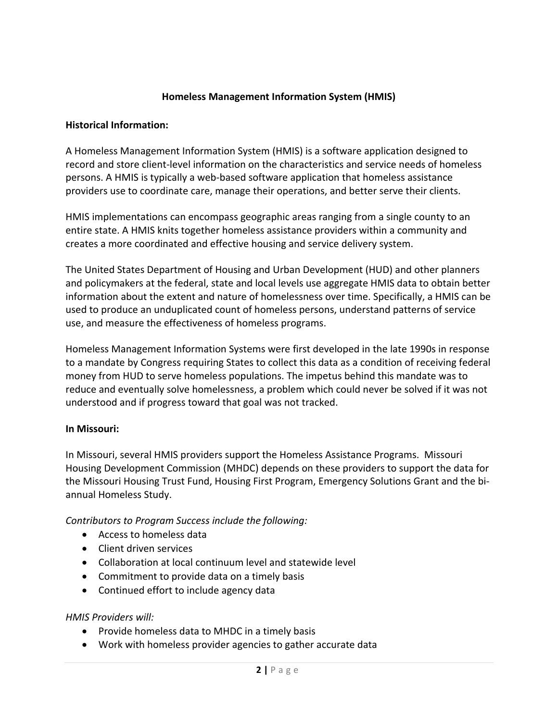## **Homeless Management Information System (HMIS)**

#### **Historical Information:**

A Homeless Management Information System (HMIS) is a software application designed to record and store client‐level information on the characteristics and service needs of homeless persons. A HMIS is typically a web‐based software application that homeless assistance providers use to coordinate care, manage their operations, and better serve their clients.

HMIS implementations can encompass geographic areas ranging from a single county to an entire state. A HMIS knits together homeless assistance providers within a community and creates a more coordinated and effective housing and service delivery system.

The United States Department of Housing and Urban Development (HUD) and other planners and policymakers at the federal, state and local levels use aggregate HMIS data to obtain better information about the extent and nature of homelessness over time. Specifically, a HMIS can be used to produce an unduplicated count of homeless persons, understand patterns of service use, and measure the effectiveness of homeless programs.

Homeless Management Information Systems were first developed in the late 1990s in response to a mandate by Congress requiring States to collect this data as a condition of receiving federal money from HUD to serve homeless populations. The impetus behind this mandate was to reduce and eventually solve homelessness, a problem which could never be solved if it was not understood and if progress toward that goal was not tracked.

#### **In Missouri:**

In Missouri, several HMIS providers support the Homeless Assistance Programs. Missouri Housing Development Commission (MHDC) depends on these providers to support the data for the Missouri Housing Trust Fund, Housing First Program, Emergency Solutions Grant and the bi‐ annual Homeless Study.

*Contributors to Program Success include the following:*

- Access to homeless data
- Client driven services
- Collaboration at local continuum level and statewide level
- Commitment to provide data on a timely basis
- Continued effort to include agency data

#### *HMIS Providers will:*

- Provide homeless data to MHDC in a timely basis
- Work with homeless provider agencies to gather accurate data